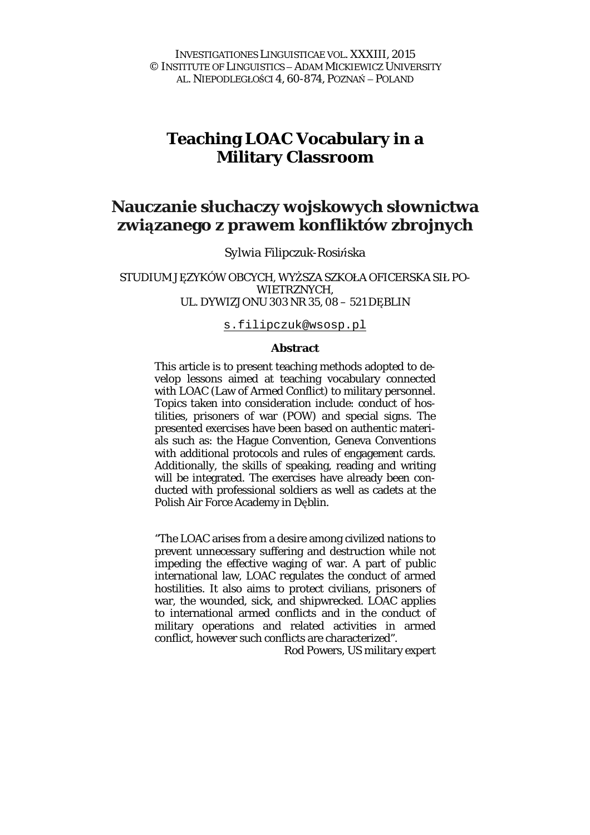# **Teaching LOAC Vocabulary in a Military Classroom**

# **Nauczanie słuchaczy wojskowych słownictwa związanego z prawem konfliktów zbrojnych**

*Sylwia Filipczuk-Rosińska* 

### STUDIUM JEZYKÓW OBCYCH, WYŻSZA SZKOŁA OFICERSKA SIŁ PO-WIETRZNYCH, UL. DYWIZJONU 303 NR 35, 08 – 521 DĘBLIN

#### [s.filipczuk@wsosp.pl](mailto:s.filipczuk@wsosp.pl)

#### **Abstract**

This article is to present teaching methods adopted to develop lessons aimed at teaching vocabulary connected with LOAC (Law of Armed Conflict) to military personnel. Topics taken into consideration include: conduct of hostilities, prisoners of war (POW) and special signs. The presented exercises have been based on authentic materials such as: the Hague Convention, Geneva Conventions with additional protocols and rules of engagement cards. Additionally, the skills of speaking, reading and writing will be integrated. The exercises have already been conducted with professional soldiers as well as cadets at the Polish Air Force Academy in Dęblin.

"The LOAC arises from a desire among civilized nations to prevent unnecessary suffering and destruction while not impeding the effective waging of war. A part of public international law, LOAC regulates the conduct of armed hostilities. It also aims to protect civilians, prisoners of war, the wounded, sick, and shipwrecked. LOAC applies to international armed conflicts and in the conduct of military operations and related activities in armed conflict, however such conflicts are characterized".

Rod Powers, US military expert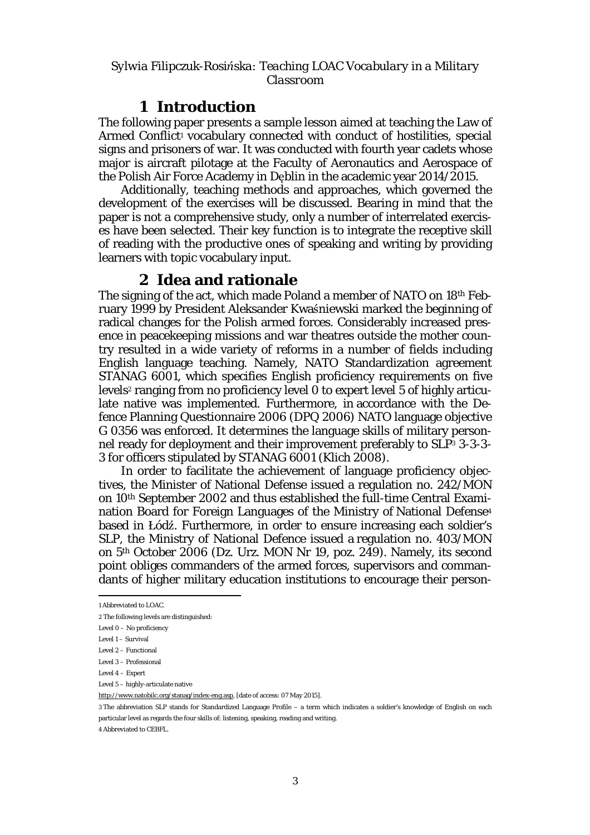# **1 Introduction**

The following paper presents a sample lesson aimed at teaching the Law of Armed Conflict<sup>1</sup> vocabulary connected with conduct of hostilities, special signs and prisoners of war. It was conducted with fourth year cadets whose major is aircraft pilotage at the Faculty of Aeronautics and Aerospace of the Polish Air Force Academy in Dęblin in the academic year 2014/2015.

Additionally, teaching methods and approaches, which governed the development of the exercises will be discussed. Bearing in mind that the paper is not a comprehensive study, only a number of interrelated exercises have been selected. Their key function is to integrate the receptive skill of reading with the productive ones of speaking and writing by providing learners with topic vocabulary input.

# **2 Idea and rationale**

The signing of the act, which made Poland a member of NATO on 18th February 1999 by President Aleksander Kwaśniewski marked the beginning of radical changes for the Polish armed forces. Considerably increased presence in peacekeeping missions and war theatres outside the mother country resulted in a wide variety of reforms in a number of fields including English language teaching. Namely, NATO Standardization agreement STANAG 6001, which specifies English proficiency requirements on five levels<sup>2</sup> ranging from no proficiency level 0 to expert level 5 of highly articulate native was implemented. Furthermore, in accordance with the Defence Planning Questionnaire 2006 (DPQ 2006) NATO language objective G 0356 was enforced. It determines the language skills of military personnel ready for deployment and their improvement preferably to SLP<sup>3</sup> 3-3-3- 3 for officers stipulated by STANAG 6001 (Klich 2008).

In order to facilitate the achievement of language proficiency objectives, the Minister of National Defense issued a regulation no. 242/MON on 10th September 2002 and thus established the full-time Central Examination Board for Foreign Languages of the Ministry of National Defense<sup>4</sup> based in Łódź. Furthermore, in order to ensure increasing each soldier's SLP, the Ministry of National Defence issued a regulation no. 403/MON on 5th October 2006 (Dz. Urz. MON Nr 19, poz. 249). Namely, its second point obliges commanders of the armed forces, supervisors and commandants of higher military education institutions to encourage their person-

3 The abbreviation SLP stands for Standardized Language Profile − a term which indicates a soldier's knowledge of English on each particular level as regards the four skills of: listening, speaking, reading and writing.

4 Abbreviated to CEBFL.

 $\overline{a}$ 1 Abbreviated to LOAC.

<sup>2</sup> The following levels are distinguished:

Level 0 – No proficiency

Level 1 – Survival

Level 2 – Functional

Level 3 – Professional

Level 4 – Expert

Level 5 – highly-articulate native

[http://www.natobilc.org/stanag/index-eng.asp,](http://www.natobilc.org/stanag/index-eng.asp) [date of access: 07 May 2015].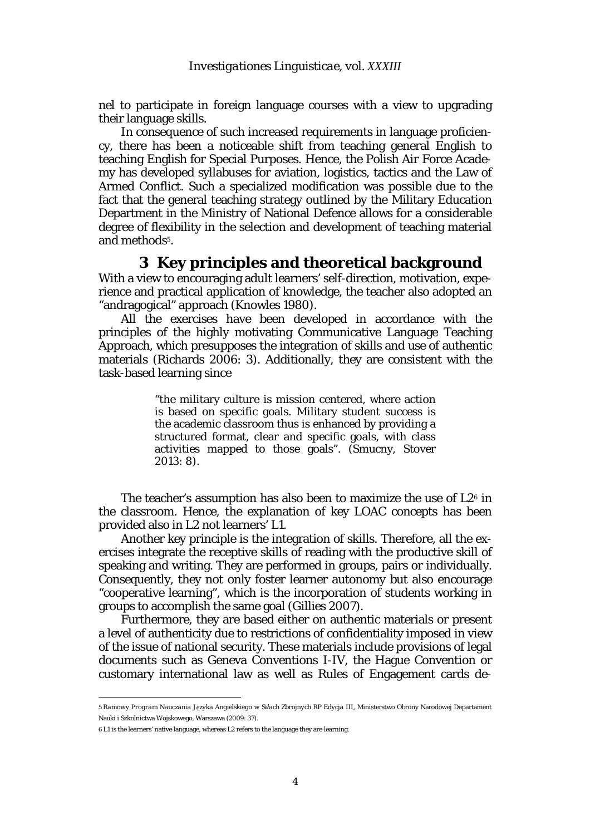nel to participate in foreign language courses with a view to upgrading their language skills.

In consequence of such increased requirements in language proficiency, there has been a noticeable shift from teaching general English to teaching English for Special Purposes. Hence, the Polish Air Force Academy has developed syllabuses for aviation, logistics, tactics and the Law of Armed Conflict. Such a specialized modification was possible due to the fact that the general teaching strategy outlined by the Military Education Department in the Ministry of National Defence allows for a considerable degree of flexibility in the selection and development of teaching material and methods<sup>5</sup>.

### **3 Key principles and theoretical background**

With a view to encouraging adult learners' self-direction, motivation, experience and practical application of knowledge, the teacher also adopted an "andragogical" approach (Knowles 1980).

All the exercises have been developed in accordance with the principles of the highly motivating Communicative Language Teaching Approach, which presupposes the integration of skills and use of authentic materials (Richards 2006: 3). Additionally, they are consistent with the task-based learning since

> "the military culture is mission centered, where action is based on specific goals. Military student success is the academic classroom thus is enhanced by providing a structured format, clear and specific goals, with class activities mapped to those goals". (Smucny, Stover 2013: 8).

The teacher's assumption has also been to maximize the use of L2<sup>6</sup> in the classroom. Hence, the explanation of key LOAC concepts has been provided also in L2 not learners' L1.

Another key principle is the integration of skills. Therefore, all the exercises integrate the receptive skills of reading with the productive skill of speaking and writing. They are performed in groups, pairs or individually. Consequently, they not only foster learner autonomy but also encourage "cooperative learning", which is the incorporation of students working in groups to accomplish the same goal (Gillies 2007).

Furthermore, they are based either on authentic materials or present a level of authenticity due to restrictions of confidentiality imposed in view of the issue of national security. These materials include provisions of legal documents such as Geneva Conventions I-IV, the Hague Convention or customary international law as well as Rules of Engagement cards de-

6 L1 is the learners' native language, whereas L2 refers to the language they are learning.

 $\overline{a}$ 

<sup>5</sup> *Ramowy Program Nauczania Języka Angielskiego w Siłach Zbrojnych RP Edycja III*, Ministerstwo Obrony Narodowej Departament Nauki i Szkolnictwa Wojskowego, Warszawa (2009: 37).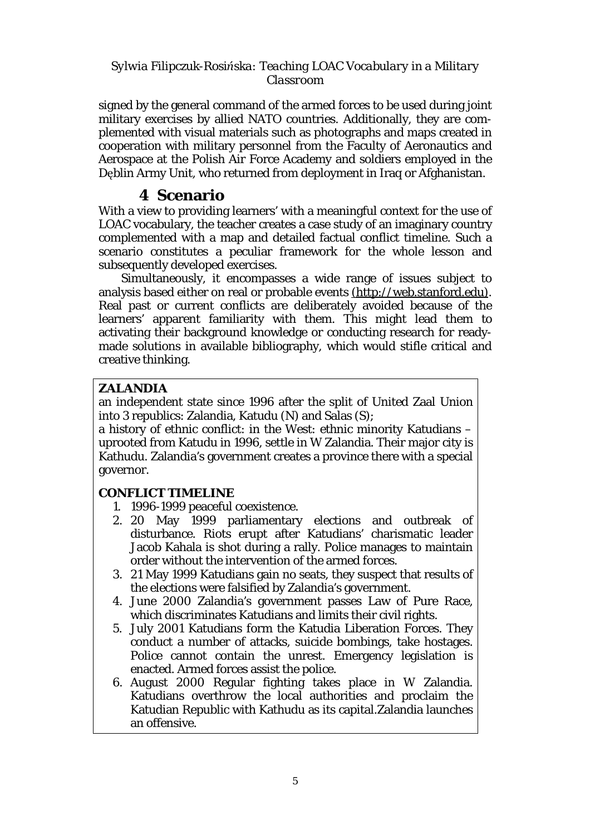signed by the general command of the armed forces to be used during joint military exercises by allied NATO countries. Additionally, they are complemented with visual materials such as photographs and maps created in cooperation with military personnel from the Faculty of Aeronautics and Aerospace at the Polish Air Force Academy and soldiers employed in the Dęblin Army Unit, who returned from deployment in Iraq or Afghanistan.

# **4 Scenario**

With a view to providing learners' with a meaningful context for the use of LOAC vocabulary, the teacher creates a case study of an imaginary country complemented with a map and detailed factual conflict timeline. Such a scenario constitutes a peculiar framework for the whole lesson and subsequently developed exercises.

Simultaneously, it encompasses a wide range of issues subject to analysis based either on real or probable events ([http://web.stanford.edu\)](http://web.stanford.edu)). Real past or current conflicts are deliberately avoided because of the learners' apparent familiarity with them. This might lead them to activating their background knowledge or conducting research for readymade solutions in available bibliography, which would stifle critical and creative thinking.

# **ZALANDIA**

an independent state since 1996 after the split of United Zaal Union into 3 republics: Zalandia, Katudu (N) and Salas (S);

a history of ethnic conflict: in the West: ethnic minority Katudians – uprooted from Katudu in 1996, settle in W Zalandia. Their major city is Kathudu. Zalandia's government creates a province there with a special governor.

# **CONFLICT TIMELINE**

- 1. 1996-1999 peaceful coexistence.
- 2. 20 May 1999 parliamentary elections and outbreak of disturbance. Riots erupt after Katudians' charismatic leader Jacob Kahala is shot during a rally. Police manages to maintain order without the intervention of the armed forces.
- 3. 21 May 1999 Katudians gain no seats, they suspect that results of the elections were falsified by Zalandia's government.
- 4. June 2000 Zalandia's government passes Law of Pure Race, which discriminates Katudians and limits their civil rights.
- 5. July 2001 Katudians form the Katudia Liberation Forces. They conduct a number of attacks, suicide bombings, take hostages. Police cannot contain the unrest. Emergency legislation is enacted. Armed forces assist the police.
- 6. August 2000 Regular fighting takes place in W Zalandia. Katudians overthrow the local authorities and proclaim the Katudian Republic with Kathudu as its capital.Zalandia launches an offensive.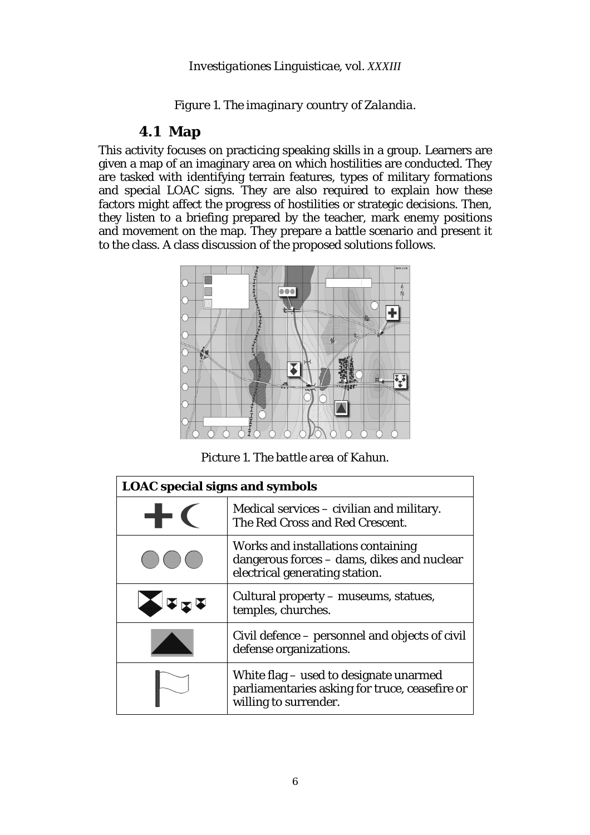*Figure 1. The imaginary country of Zalandia.* 

# **4.1 Map**

This activity focuses on practicing speaking skills in a group. Learners are given a map of an imaginary area on which hostilities are conducted. They are tasked with identifying terrain features, types of military formations and special LOAC signs. They are also required to explain how these factors might affect the progress of hostilities or strategic decisions. Then, they listen to a briefing prepared by the teacher, mark enemy positions and movement on the map. They prepare a battle scenario and present it to the class. A class discussion of the proposed solutions follows.



*Picture 1. The battle area of Kahun.* 

| <b>LOAC</b> special signs and symbols |                                                                                                                    |  |
|---------------------------------------|--------------------------------------------------------------------------------------------------------------------|--|
|                                       | Medical services – civilian and military.<br>The Red Cross and Red Crescent.                                       |  |
|                                       | Works and installations containing<br>dangerous forces - dams, dikes and nuclear<br>electrical generating station. |  |
|                                       | Cultural property – museums, statues,<br>temples, churches.                                                        |  |
|                                       | Civil defence – personnel and objects of civil<br>defense organizations.                                           |  |
|                                       | White flag – used to designate unarmed<br>parliamentaries asking for truce, ceasefire or<br>willing to surrender.  |  |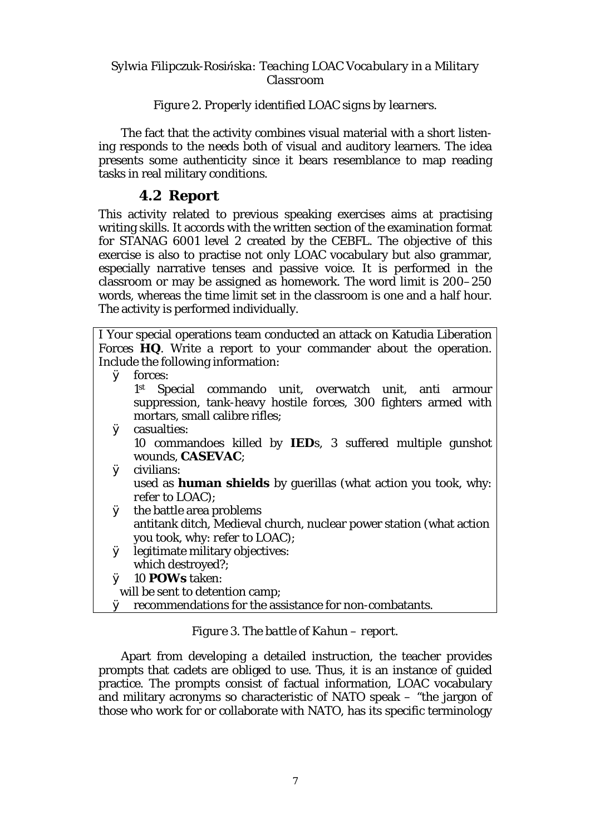### *Figure 2. Properly identified LOAC signs by learners.*

The fact that the activity combines visual material with a short listening responds to the needs both of visual and auditory learners. The idea presents some authenticity since it bears resemblance to map reading tasks in real military conditions.

# **4.2 Report**

This activity related to previous speaking exercises aims at practising writing skills. It accords with the written section of the examination format for STANAG 6001 level 2 created by the CEBFL. The objective of this exercise is also to practise not only LOAC vocabulary but also grammar, especially narrative tenses and passive voice. It is performed in the classroom or may be assigned as homework. The word limit is 200–250 words, whereas the time limit set in the classroom is one and a half hour. The activity is performed individually.

|   | I Your special operations team conducted an attack on Katudia Liberation |
|---|--------------------------------------------------------------------------|
|   | Forces HQ. Write a report to your commander about the operation.         |
|   | Include the following information:                                       |
|   | Ø forces:                                                                |
|   | Special commando unit, overwatch unit, anti armour<br>1 <sup>st</sup>    |
|   | suppression, tank-heavy hostile forces, 300 fighters armed with          |
|   | mortars, small calibre rifles;                                           |
|   | Ø casualties:                                                            |
|   | 10 commandoes killed by IEDs, 3 suffered multiple gunshot                |
|   | wounds, CASEVAC;                                                         |
| Ø | civilians:                                                               |
|   | used as human shields by guerillas (what action you took, why:           |
|   | refer to LOAC);                                                          |
|   | <b>Ø</b> the battle area problems                                        |
|   | antitank ditch, Medieval church, nuclear power station (what action      |
|   | you took, why: refer to LOAC);                                           |
| Ø | legitimate military objectives:                                          |
|   | which destroyed?;                                                        |
| Ø | 10 POWs taken:                                                           |
|   | will be sent to detention camp;                                          |

# Ø recommendations for the assistance for non-combatants.

### *Figure 3. The battle of Kahun – report.*

Apart from developing a detailed instruction, the teacher provides prompts that cadets are obliged to use. Thus, it is an instance of guided practice. The prompts consist of factual information, LOAC vocabulary and military acronyms so characteristic of NATO speak – "the jargon of those who work for or collaborate with NATO, has its specific terminology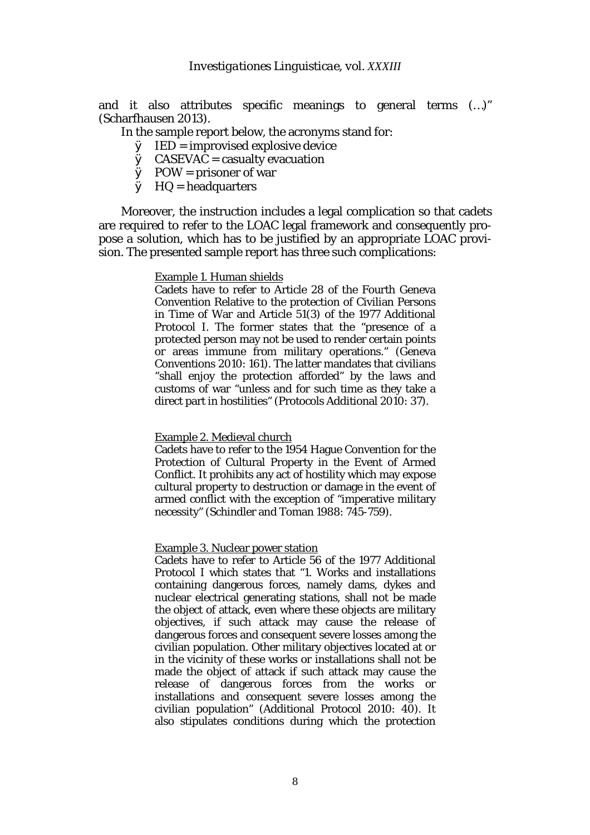and it also attributes specific meanings to general terms (…)" (Scharfhausen 2013).

#### In the sample report below, the acronyms stand for:

- $\emptyset$  IED = improvised explosive device
- $\emptyset$  CASEVAC = casualty evacuation
- $Ø$  POW = prisoner of war
- $\emptyset$  HQ = headquarters

Moreover, the instruction includes a legal complication so that cadets are required to refer to the LOAC legal framework and consequently propose a solution, which has to be justified by an appropriate LOAC provision. The presented sample report has three such complications:

#### Example 1. Human shields

Cadets have to refer to Article 28 of the Fourth Geneva Convention Relative to the protection of Civilian Persons in Time of War and Article 51(3) of the 1977 Additional Protocol I. The former states that the "presence of a protected person may not be used to render certain points or areas immune from military operations." (Geneva Conventions 2010: 161). The latter mandates that civilians "shall enjoy the protection afforded" by the laws and customs of war "unless and for such time as they take a direct part in hostilities" (Protocols Additional 2010: 37).

#### Example 2. Medieval church

Cadets have to refer to the 1954 Hague Convention for the Protection of Cultural Property in the Event of Armed Conflict. It prohibits any act of hostility which may expose cultural property to destruction or damage in the event of armed conflict with the exception of "imperative military necessity" (Schindler and Toman 1988: 745-759).

#### Example 3. Nuclear power station

Cadets have to refer to Article 56 of the 1977 Additional Protocol I which states that "1. Works and installations containing dangerous forces, namely dams, dykes and nuclear electrical generating stations, shall not be made the object of attack, even where these objects are military objectives, if such attack may cause the release of dangerous forces and consequent severe losses among the civilian population. Other military objectives located at or in the vicinity of these works or installations shall not be made the object of attack if such attack may cause the release of dangerous forces from the works or installations and consequent severe losses among the civilian population" (Additional Protocol 2010: 40). It also stipulates conditions during which the protection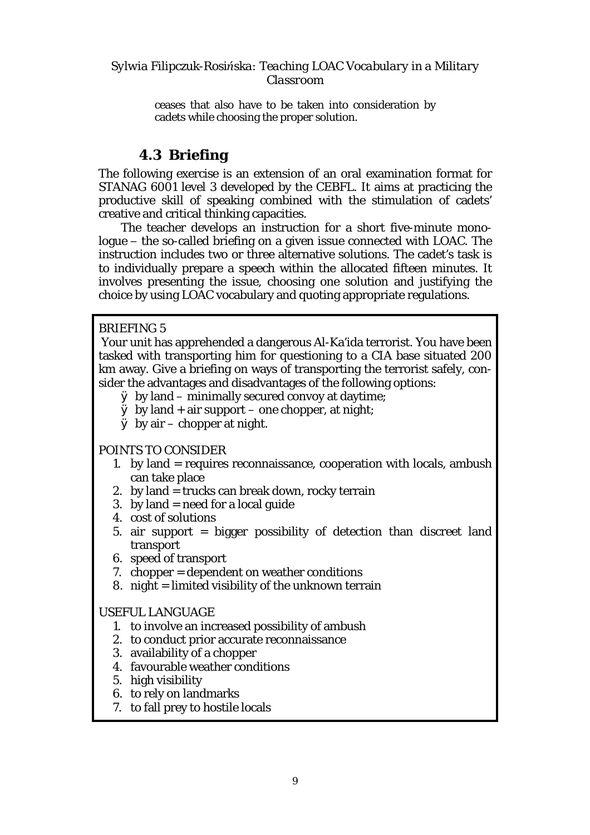ceases that also have to be taken into consideration by cadets while choosing the proper solution.

# **4.3 Briefing**

The following exercise is an extension of an oral examination format for STANAG 6001 level 3 developed by the CEBFL. It aims at practicing the productive skill of speaking combined with the stimulation of cadets' creative and critical thinking capacities.

The teacher develops an instruction for a short five-minute monologue − the so-called briefing on a given issue connected with LOAC. The instruction includes two or three alternative solutions. The cadet's task is to individually prepare a speech within the allocated fifteen minutes. It involves presenting the issue, choosing one solution and justifying the choice by using LOAC vocabulary and quoting appropriate regulations.

# BRIEFING 5

Your unit has apprehended a dangerous Al-Ka'ida terrorist. You have been tasked with transporting him for questioning to a CIA base situated 200 km away. Give a briefing on ways of transporting the terrorist safely, consider the advantages and disadvantages of the following options:

- Ø by land minimally secured convoy at daytime;
- $\emptyset$  by land + air support one chopper, at night;
- $\emptyset$  by air chopper at night.

# *POINTS TO CONSIDER*

- 1. by land = requires reconnaissance, cooperation with locals, ambush can take place
- 2. by land = trucks can break down, rocky terrain
- 3. by land  $=$  need for a local guide
- 4. cost of solutions
- 5. air support = bigger possibility of detection than discreet land transport
- 6. speed of transport
- 7. chopper = dependent on weather conditions
- 8. night = limited visibility of the unknown terrain

### *USEFUL LANGUAGE*

- 1. to involve an increased possibility of ambush
- 2. to conduct prior accurate reconnaissance
- 3. availability of a chopper
- 4. favourable weather conditions
- 5. high visibility
- 6. to rely on landmarks
- 7. to fall prey to hostile locals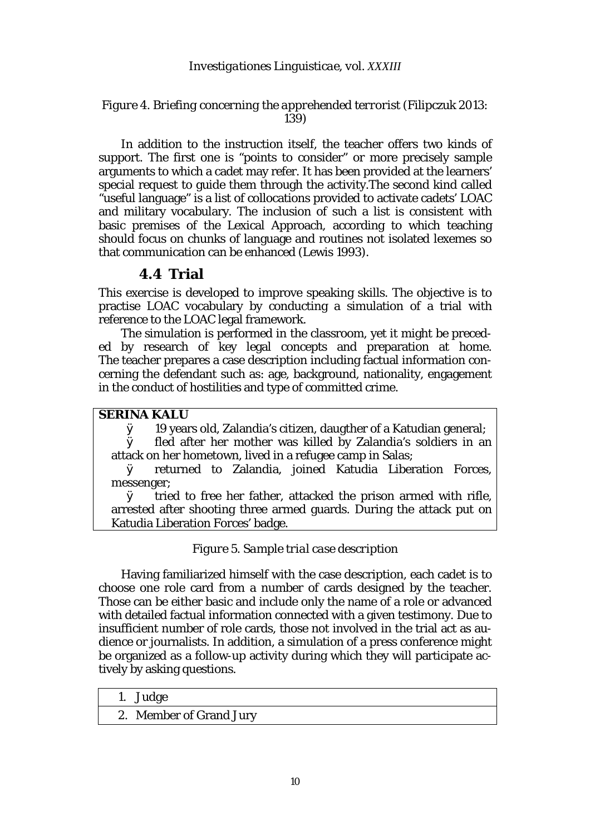### *Investigationes Linguisticae, vol. XXXIII*

### *Figure 4. Briefing concerning the apprehended terrorist (Filipczuk 2013: 139)*

In addition to the instruction itself, the teacher offers two kinds of support. The first one is "points to consider" or more precisely sample arguments to which a cadet may refer. It has been provided at the learners' special request to guide them through the activity.The second kind called "useful language" is a list of collocations provided to activate cadets' LOAC and military vocabulary. The inclusion of such a list is consistent with basic premises of the Lexical Approach, according to which teaching should focus on chunks of language and routines not isolated lexemes so that communication can be enhanced (Lewis 1993).

### **4.4 Trial**

This exercise is developed to improve speaking skills. The objective is to practise LOAC vocabulary by conducting a simulation of a trial with reference to the LOAC legal framework.

The simulation is performed in the classroom, yet it might be preceded by research of key legal concepts and preparation at home. The teacher prepares a case description including factual information concerning the defendant such as: age, background, nationality, engagement in the conduct of hostilities and type of committed crime.

*SERINA KALU*

Ø 19 years old, Zalandia's citizen, daugther of a Katudian general;

Ø fled after her mother was killed by Zalandia's soldiers in an attack on her hometown, lived in a refugee camp in Salas;

Ø returned to Zalandia, joined Katudia Liberation Forces, messenger;

Ø tried to free her father, attacked the prison armed with rifle, arrested after shooting three armed guards. During the attack put on Katudia Liberation Forces' badge.

### *Figure 5. Sample trial case description*

Having familiarized himself with the case description, each cadet is to choose one role card from a number of cards designed by the teacher. Those can be either basic and include only the name of a role or advanced with detailed factual information connected with a given testimony. Due to insufficient number of role cards, those not involved in the trial act as audience or journalists. In addition, a simulation of a press conference might be organized as a follow-up activity during which they will participate actively by asking questions.

1. Judge

2. Member of Grand Jury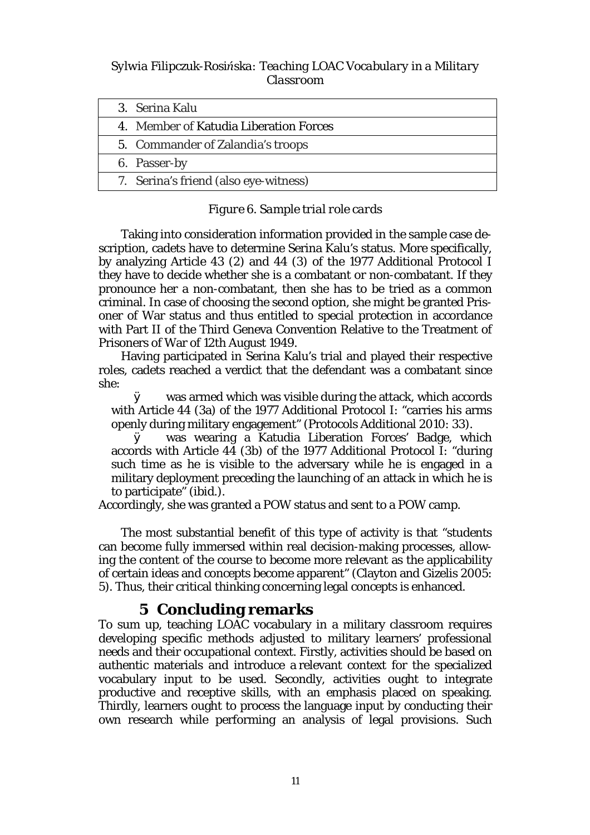*Sylwia Filipczuk-Rosińska: Teaching LOAC Vocabulary in a Military Classroom*

| 3. Serina Kalu                         |  |
|----------------------------------------|--|
| 4. Member of Katudia Liberation Forces |  |
| 5. Commander of Zalandia's troops      |  |
| 6. Passer-by                           |  |
| 7. Serina's friend (also eye-witness)  |  |

### *Figure 6. Sample trial role cards*

Taking into consideration information provided in the sample case description, cadets have to determine Serina Kalu's status. More specifically, by analyzing Article 43 (2) and 44 (3) of the 1977 Additional Protocol I they have to decide whether she is a combatant or non-combatant. If they pronounce her a non-combatant, then she has to be tried as a common criminal. In case of choosing the second option, she might be granted Prisoner of War status and thus entitled to special protection in accordance with Part II of the Third Geneva Convention Relative to the Treatment of Prisoners of War of 12th August 1949.

Having participated in Serina Kalu's trial and played their respective roles, cadets reached a verdict that the defendant was a combatant since she:

Ø was armed which was visible during the attack, which accords with Article 44 (3a) of the 1977 Additional Protocol I: "carries his arms openly during military engagement" (Protocols Additional 2010: 33).

Ø was wearing a Katudia Liberation Forces' Badge, which accords with Article 44 (3b) of the 1977 Additional Protocol I: "during such time as he is visible to the adversary while he is engaged in a military deployment preceding the launching of an attack in which he is to participate" (ibid.).

Accordingly, she was granted a POW status and sent to a POW camp.

The most substantial benefit of this type of activity is that "students can become fully immersed within real decision-making processes, allowing the content of the course to become more relevant as the applicability of certain ideas and concepts become apparent" (Clayton and Gizelis 2005: 5). Thus, their critical thinking concerning legal concepts is enhanced.

# **5 Concluding remarks**

To sum up, teaching LOAC vocabulary in a military classroom requires developing specific methods adjusted to military learners' professional needs and their occupational context. Firstly, activities should be based on authentic materials and introduce a relevant context for the specialized vocabulary input to be used. Secondly, activities ought to integrate productive and receptive skills, with an emphasis placed on speaking. Thirdly, learners ought to process the language input by conducting their own research while performing an analysis of legal provisions. Such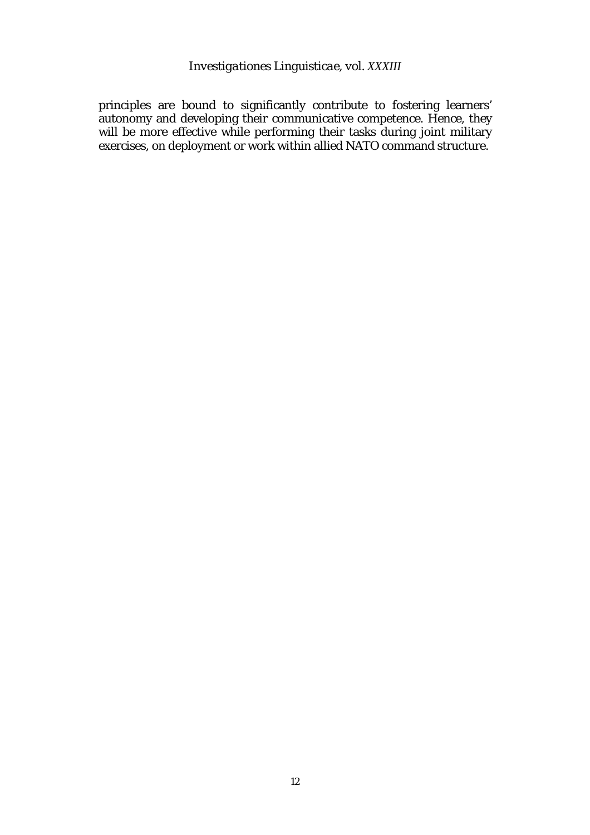*Investigationes Linguisticae, vol. XXXIII*

principles are bound to significantly contribute to fostering learners' autonomy and developing their communicative competence. Hence, they will be more effective while performing their tasks during joint military exercises, on deployment or work within allied NATO command structure.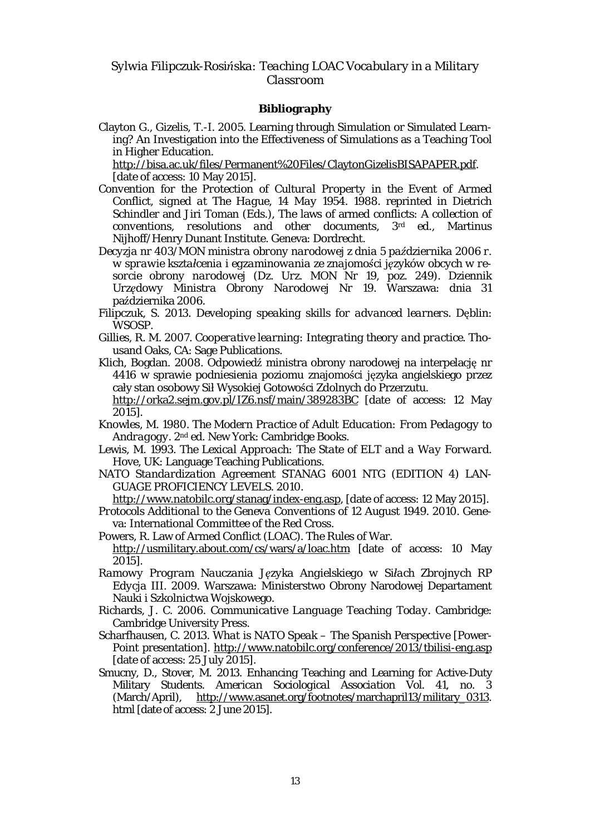### **Bibliography**

Clayton G., Gizelis, T.-I. 2005. Learning through Simulation or Simulated Learning? An Investigation into the Effectiveness of Simulations as a Teaching Tool in Higher Education.

[http://bisa.ac.uk/files/Permanent%20Files/ClaytonGizelisBISAPAPER.pdf.](http://bisa.ac.uk/files/Permanent%20Files/ClaytonGizelisBISAPAPER.pdf) [date of access: 10 May 2015].

- *Convention for the Protection of Cultural Property in the Event of Armed Conflict, signed at The Hague, 14 May 1954*. 1988. reprinted in Dietrich Schindler and Jiri Toman (Eds.), The laws of armed conflicts: *A collection of conventions, resolutions and other documents*, 3rd ed., Martinus Nijhoff/Henry Dunant Institute. Geneva: Dordrecht.
- *Decyzja nr 403/MON ministra obrony narodowej z dnia 5 października 2006 r. w sprawie kształcenia i egzaminowania ze znajomości języków obcych w resorcie obrony narodowej (Dz. Urz. MON Nr 19, poz. 249)*. Dziennik *Urzędowy Ministra Obrony Narodowej Nr 19*. Warszawa: dnia 31 października 2006.
- Filipczuk, S. 2013. *Developing speaking skills for advanced learners*. Dęblin: WSOSP.
- Gillies, R. M. 2007. *Cooperative learning: Integrating theory and practice.* Thousand Oaks, CA: Sage Publications.
- Klich, Bogdan. 2008. Odpowiedź ministra obrony narodowej na interpelację nr 4416 w sprawie podniesienia poziomu znajomości języka angielskiego przez cały stan osobowy Sił Wysokiej Gotowości Zdolnych do Przerzutu.

<http://orka2.sejm.gov.pl/IZ6.nsf/main/389283BC> [date of access: 12 May 2015].

- Knowles, M. 1980. *The Modern Practice of Adult Education: From Pedagogy to Andragogy*. 2nd ed. New York: Cambridge Books.
- Lewis, M. 1993. *The Lexical Approach: The State of ELT and a Way Forward*. Hove, UK: Language Teaching Publications.
- *NATO Standardization Agreement STANAG 6001 NTG (EDITION 4) LAN-GUAGE PROFICIENCY LEVELS*. 2010.

<http://www.natobilc.org/stanag/index-eng.asp>, [date of access: 12 May 2015].

- *Protocols Additional to the Geneva Conventions of 12 August 1949.* 2010. Geneva: International Committee of the Red Cross.
- Powers, R. Law of Armed Conflict (LOAC). The Rules of War. <http://usmilitary.about.com/cs/wars/a/loac.htm> [date of access: 10 May 2015].
- *Ramowy Program Nauczania Języka Angielskiego w Siłach Zbrojnych RP Edycja III*. 2009. Warszawa: Ministerstwo Obrony Narodowej Departament Nauki i Szkolnictwa Wojskowego.
- Richards, J. C. 2006. *Communicative Language Teaching Today*. Cambridge: Cambridge University Press.
- Scharfhausen, C. 2013. *What is NATO Speak – The Spanish Perspective* [Power-Point presentation]. <http://www.natobilc.org/conference/2013/tbilisi-eng.asp> [date of access: 25 July 2015].
- Smucny, D., Stover, M. 2013. Enhancing Teaching and Learning for Active-Duty Military Students. *American Sociological Association Vol.* 41, no. 3 (March/April), [http://www.asanet.org/footnotes/marchapril13/military\\_0313.](http://www.asanet.org/footnotes/marchapril13/military_0313) html [date of access: 2 June 2015].